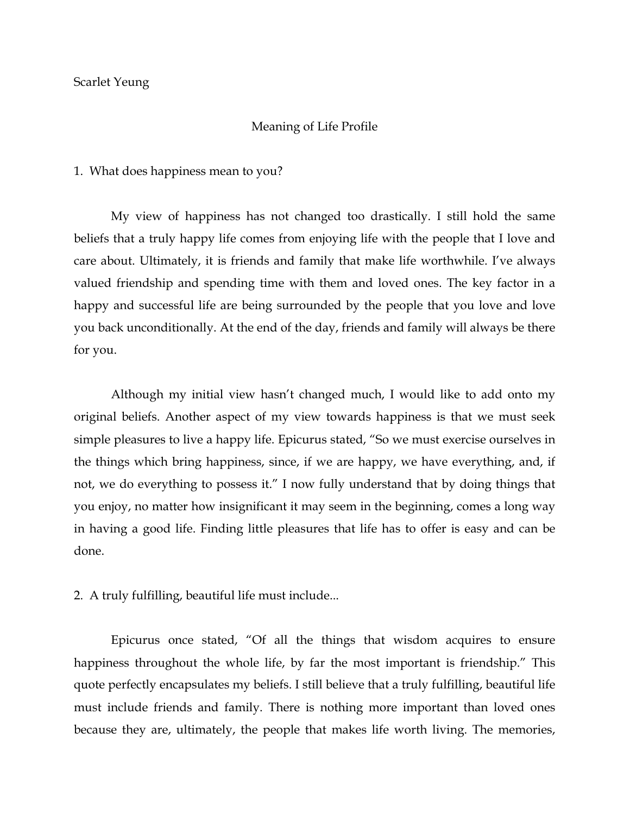## Scarlet Yeung

## Meaning of Life Profile

1. What does happiness mean to you?

My view of happiness has not changed too drastically. I still hold the same beliefs that a truly happy life comes from enjoying life with the people that I love and care about. Ultimately, it is friends and family that make life worthwhile. I've always valued friendship and spending time with them and loved ones. The key factor in a happy and successful life are being surrounded by the people that you love and love you back unconditionally. At the end of the day, friends and family will always be there for you.

Although my initial view hasn't changed much, I would like to add onto my original beliefs. Another aspect of my view towards happiness is that we must seek simple pleasures to live a happy life. Epicurus stated, "So we must exercise ourselves in the things which bring happiness, since, if we are happy, we have everything, and, if not, we do everything to possess it." I now fully understand that by doing things that you enjoy, no matter how insignificant it may seem in the beginning, comes a long way in having a good life. Finding little pleasures that life has to offer is easy and can be done.

2. A truly fulfilling, beautiful life must include...

Epicurus once stated, "Of all the things that wisdom acquires to ensure happiness throughout the whole life, by far the most important is friendship." This quote perfectly encapsulates my beliefs. I still believe that a truly fulfilling, beautiful life must include friends and family. There is nothing more important than loved ones because they are, ultimately, the people that makes life worth living. The memories,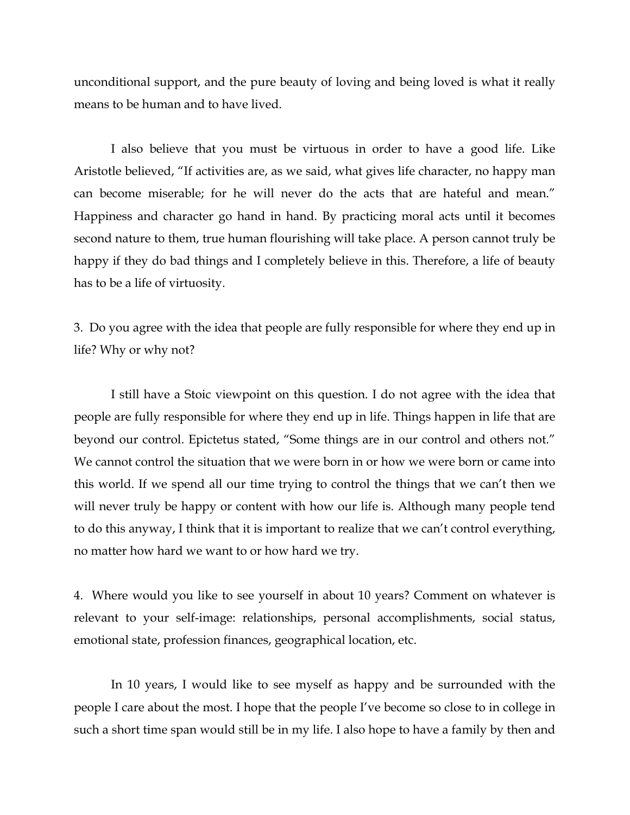unconditional support, and the pure beauty of loving and being loved is what it really means to be human and to have lived.

I also believe that you must be virtuous in order to have a good life. Like Aristotle believed, "If activities are, as we said, what gives life character, no happy man can become miserable; for he will never do the acts that are hateful and mean." Happiness and character go hand in hand. By practicing moral acts until it becomes second nature to them, true human flourishing will take place. A person cannot truly be happy if they do bad things and I completely believe in this. Therefore, a life of beauty has to be a life of virtuosity.

3. Do you agree with the idea that people are fully responsible for where they end up in life? Why or why not?

I still have a Stoic viewpoint on this question. I do not agree with the idea that people are fully responsible for where they end up in life. Things happen in life that are beyond our control. Epictetus stated, "Some things are in our control and others not." We cannot control the situation that we were born in or how we were born or came into this world. If we spend all our time trying to control the things that we can't then we will never truly be happy or content with how our life is. Although many people tend to do this anyway, I think that it is important to realize that we can't control everything, no matter how hard we want to or how hard we try.

4. Where would you like to see yourself in about 10 years? Comment on whatever is relevant to your self-image: relationships, personal accomplishments, social status, emotional state, profession finances, geographical location, etc.

In 10 years, I would like to see myself as happy and be surrounded with the people I care about the most. I hope that the people I've become so close to in college in such a short time span would still be in my life. I also hope to have a family by then and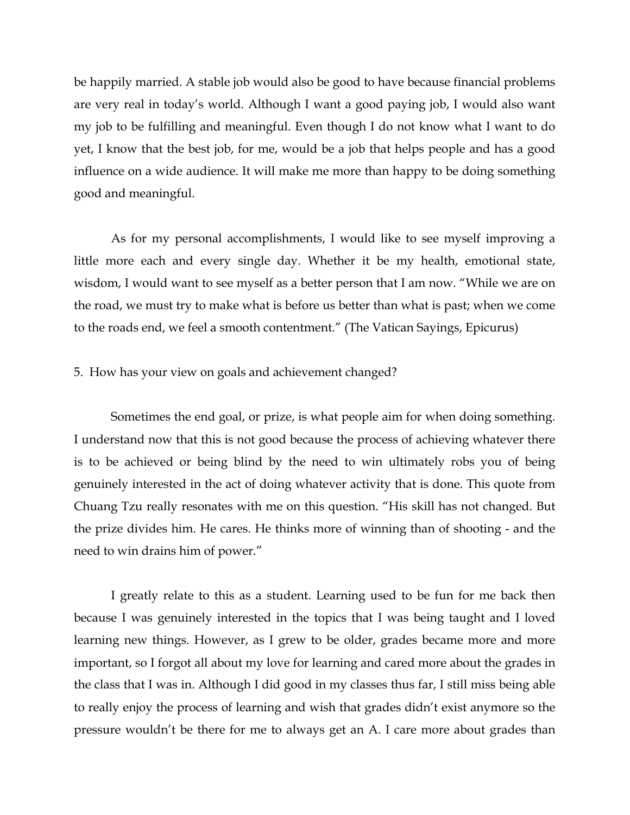be happily married. A stable job would also be good to have because financial problems are very real in today's world. Although I want a good paying job, I would also want my job to be fulfilling and meaningful. Even though I do not know what I want to do yet, I know that the best job, for me, would be a job that helps people and has a good influence on a wide audience. It will make me more than happy to be doing something good and meaningful.

As for my personal accomplishments, I would like to see myself improving a little more each and every single day. Whether it be my health, emotional state, wisdom, I would want to see myself as a better person that I am now. "While we are on the road, we must try to make what is before us better than what is past; when we come to the roads end, we feel a smooth contentment." (The Vatican Sayings, Epicurus)

## 5. How has your view on goals and achievement changed?

Sometimes the end goal, or prize, is what people aim for when doing something. I understand now that this is not good because the process of achieving whatever there is to be achieved or being blind by the need to win ultimately robs you of being genuinely interested in the act of doing whatever activity that is done. This quote from Chuang Tzu really resonates with me on this question. "His skill has not changed. But the prize divides him. He cares. He thinks more of winning than of shooting - and the need to win drains him of power."

I greatly relate to this as a student. Learning used to be fun for me back then because I was genuinely interested in the topics that I was being taught and I loved learning new things. However, as I grew to be older, grades became more and more important, so I forgot all about my love for learning and cared more about the grades in the class that I was in. Although I did good in my classes thus far, I still miss being able to really enjoy the process of learning and wish that grades didn't exist anymore so the pressure wouldn't be there for me to always get an A. I care more about grades than